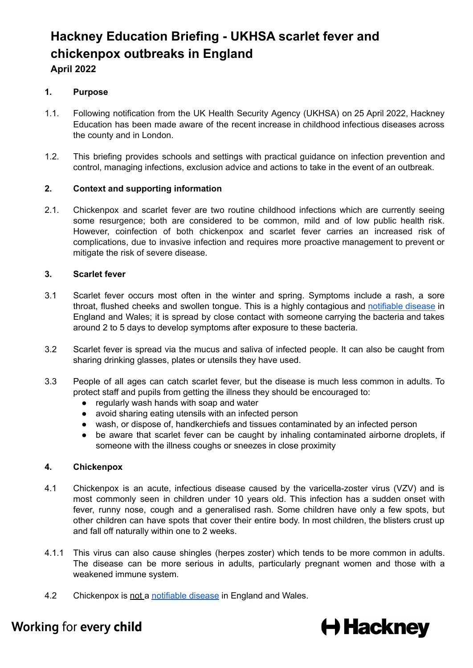# **Hackney Education Briefing - UKHSA scarlet fever and chickenpox outbreaks in England April 2022**

# **1. Purpose**

- 1.1. Following notification from the UK Health Security Agency (UKHSA) on 25 April 2022, Hackney Education has been made aware of the recent increase in childhood infectious diseases across the county and in London.
- 1.2. This briefing provides schools and settings with practical guidance on infection prevention and control, managing infections, exclusion advice and actions to take in the event of an outbreak.

#### **2. Context and supporting information**

2.1. Chickenpox and scarlet fever are two routine childhood infections which are currently seeing some resurgence; both are considered to be common, mild and of low public health risk. However, coinfection of both chickenpox and scarlet fever carries an increased risk of complications, due to invasive infection and requires more proactive management to prevent or mitigate the risk of severe disease.

#### **3. Scarlet fever**

- 3.1 Scarlet fever occurs most often in the winter and spring. Symptoms include a rash, a sore throat, flushed cheeks and swollen tongue. This is a highly contagious and [notifiable](https://www.gov.uk/government/collections/notifications-of-infectious-diseases-noids) disease in England and Wales; it is spread by close contact with someone carrying the bacteria and takes around 2 to 5 days to develop symptoms after exposure to these bacteria.
- 3.2 Scarlet fever is spread via the mucus and saliva of infected people. It can also be caught from sharing drinking glasses, plates or utensils they have used.
- 3.3 People of all ages can catch scarlet fever, but the disease is much less common in adults. To protect staff and pupils from getting the illness they should be encouraged to:
	- regularly wash hands with soap and water
	- avoid sharing eating utensils with an infected person
	- wash, or dispose of, handkerchiefs and tissues contaminated by an infected person
	- be aware that scarlet fever can be caught by inhaling contaminated airborne droplets, if someone with the illness coughs or sneezes in close proximity

#### **4. Chickenpox**

- 4.1 Chickenpox is an acute, infectious disease caused by the varicella-zoster virus (VZV) and is most commonly seen in children under 10 years old. This infection has a sudden onset with fever, runny nose, cough and a generalised rash. Some children have only a few spots, but other children can have spots that cover their entire body. In most children, the blisters crust up and fall off naturally within one to 2 weeks.
- 4.1.1 This virus can also cause shingles (herpes zoster) which tends to be more common in adults. The disease can be more serious in adults, particularly pregnant women and those with a weakened immune system.
- 4.2 Chickenpox is not a [notifiable](https://www.gov.uk/government/collections/notifications-of-infectious-diseases-noids) disease in England and Wales.



# Working for every child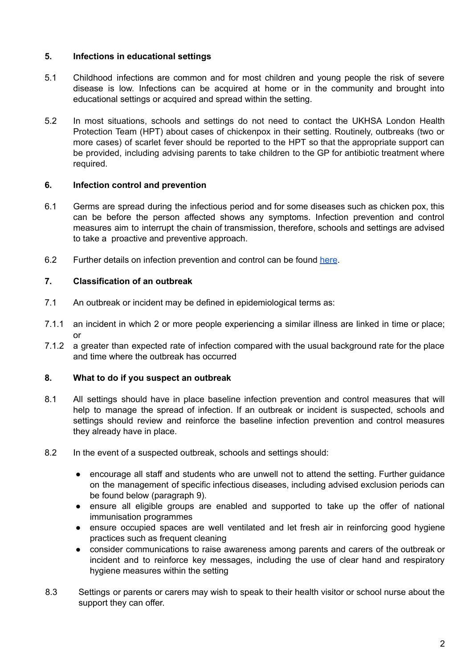## **5. Infections in educational settings**

- 5.1 Childhood infections are common and for most children and young people the risk of severe disease is low. Infections can be acquired at home or in the community and brought into educational settings or acquired and spread within the setting.
- 5.2 In most situations, schools and settings do not need to contact the UKHSA London Health Protection Team (HPT) about cases of chickenpox in their setting. Routinely, outbreaks (two or more cases) of scarlet fever should be reported to the HPT so that the appropriate support can be provided, including advising parents to take children to the GP for antibiotic treatment where required.

### **6. Infection control and prevention**

- 6.1 Germs are spread during the infectious period and for some diseases such as chicken pox, this can be before the person affected shows any symptoms. Infection prevention and control measures aim to interrupt the chain of transmission, therefore, schools and settings are advised to take a proactive and preventive approach.
- 6.2 Further details on infection prevention and control can be found [here](https://www.gov.uk/government/publications/health-protection-in-schools-and-other-childcare-facilities/chapter-2-infection-prevention-and-control#).

# **7. Classification of an outbreak**

- 7.1 An outbreak or incident may be defined in epidemiological terms as:
- 7.1.1 an incident in which 2 or more people experiencing a similar illness are linked in time or place; or
- 7.1.2 a greater than expected rate of infection compared with the usual background rate for the place and time where the outbreak has occurred

#### **8. What to do if you suspect an outbreak**

- 8.1 All settings should have in place baseline infection prevention and control measures that will help to manage the spread of infection. If an outbreak or incident is suspected, schools and settings should review and reinforce the baseline infection prevention and control measures they already have in place.
- 8.2 In the event of a suspected outbreak, schools and settings should:
	- encourage all staff and students who are unwell not to attend the setting. Further guidance on the management of specific infectious diseases, including advised exclusion periods can be found below (paragraph 9).
	- ensure all eligible groups are enabled and supported to take up the offer of national immunisation programmes
	- ensure occupied spaces are well ventilated and let fresh air in reinforcing good hygiene practices such as frequent cleaning
	- consider communications to raise awareness among parents and carers of the outbreak or incident and to reinforce key messages, including the use of clear hand and respiratory hygiene measures within the setting
- 8.3 Settings or parents or carers may wish to speak to their health visitor or school nurse about the support they can offer.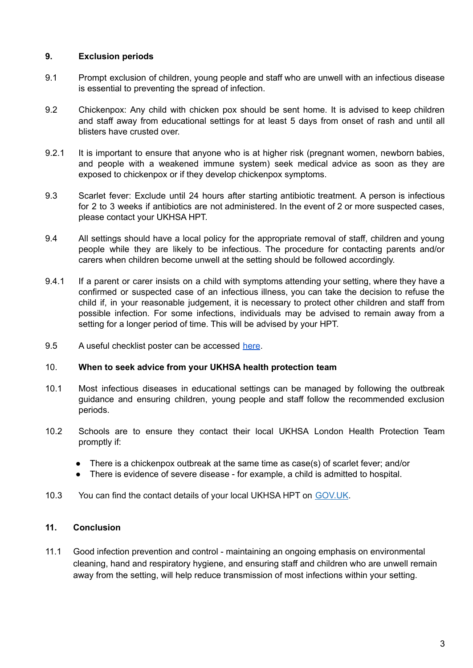## **9. Exclusion periods**

- 9.1 Prompt exclusion of children, young people and staff who are unwell with an infectious disease is essential to preventing the spread of infection.
- 9.2 Chickenpox: Any child with chicken pox should be sent home. It is advised to keep children and staff away from educational settings for at least 5 days from onset of rash and until all blisters have crusted over.
- 9.2.1 It is important to ensure that anyone who is at higher risk (pregnant women, newborn babies, and people with a weakened immune system) seek medical advice as soon as they are exposed to chickenpox or if they develop chickenpox symptoms.
- 9.3 Scarlet fever: Exclude until 24 hours after starting antibiotic treatment. A person is infectious for 2 to 3 weeks if antibiotics are not administered. In the event of 2 or more suspected cases, please contact your UKHSA HPT.
- 9.4 All settings should have a local policy for the appropriate removal of staff, children and young people while they are likely to be infectious. The procedure for contacting parents and/or carers when children become unwell at the setting should be followed accordingly.
- 9.4.1 If a parent or carer insists on a child with symptoms attending your setting, where they have a confirmed or suspected case of an infectious illness, you can take the decision to refuse the child if, in your reasonable judgement, it is necessary to protect other children and staff from possible infection. For some infections, individuals may be advised to remain away from a setting for a longer period of time. This will be advised by your HPT.
- 9.5 A useful checklist poster can be accessed [here](https://assets.publishing.service.gov.uk/government/uploads/system/uploads/attachment_data/file/1070910/UKHSA-should-I-keep-my_child_off_school_guidance-A3-poster.pdf).

#### 10. **When to seek advice from your UKHSA health protection team**

- 10.1 Most infectious diseases in educational settings can be managed by following the outbreak guidance and ensuring children, young people and staff follow the recommended exclusion periods.
- 10.2 Schools are to ensure they contact their local UKHSA London Health Protection Team promptly if:
	- There is a chickenpox outbreak at the same time as case(s) of scarlet fever; and/or
	- There is evidence of severe disease for example, a child is admitted to hospital.
- 10.3 You can find the contact details of your local UKHSA HPT on [GOV.UK](https://www.gov.uk/health-protection-team).

#### **11. Conclusion**

11.1 Good infection prevention and control - maintaining an ongoing emphasis on environmental cleaning, hand and respiratory hygiene, and ensuring staff and children who are unwell remain away from the setting, will help reduce transmission of most infections within your setting.